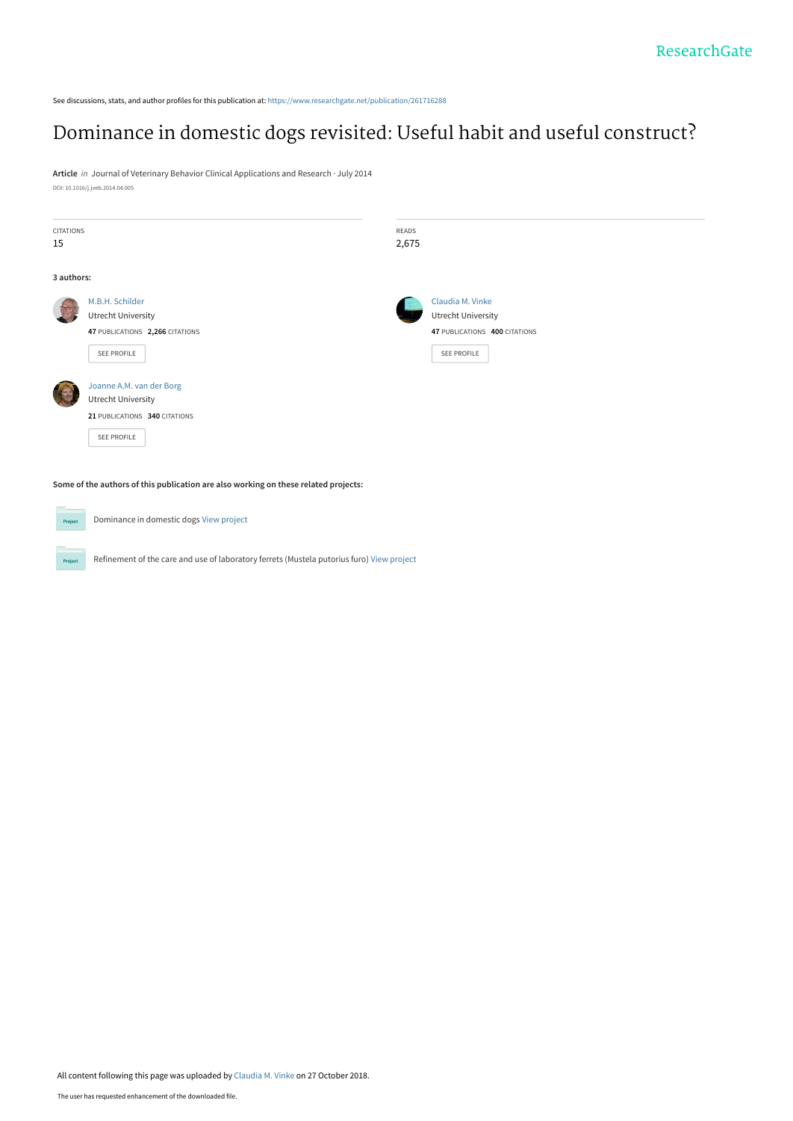See discussions, stats, and author profiles for this publication at: [https://www.researchgate.net/publication/261716288](https://www.researchgate.net/publication/261716288_Dominance_in_domestic_dogs_revisited_Useful_habit_and_useful_construct?enrichId=rgreq-d3c9979df82650ce7bd26408b728a401-XXX&enrichSource=Y292ZXJQYWdlOzI2MTcxNjI4ODtBUzo2ODYyNDgzNDM2NDIxMTRAMTU0MDYyNTc2MzQ1OQ%3D%3D&el=1_x_2&_esc=publicationCoverPdf)

# [Dominance in domestic dogs revisited: Useful habit and useful construct?](https://www.researchgate.net/publication/261716288_Dominance_in_domestic_dogs_revisited_Useful_habit_and_useful_construct?enrichId=rgreq-d3c9979df82650ce7bd26408b728a401-XXX&enrichSource=Y292ZXJQYWdlOzI2MTcxNjI4ODtBUzo2ODYyNDgzNDM2NDIxMTRAMTU0MDYyNTc2MzQ1OQ%3D%3D&el=1_x_3&_esc=publicationCoverPdf)

**Article** in Journal of Veterinary Behavior Clinical Applications and Research · July 2014 DOI: 10.1016/j.jveb.2014.04.005

| <b>CITATIONS</b> |                                 | READS |                               |
|------------------|---------------------------------|-------|-------------------------------|
| 15               |                                 | 2,675 |                               |
|                  |                                 |       |                               |
| 3 authors:       |                                 |       |                               |
|                  | M.B.H. Schilder                 |       | Claudia M. Vinke              |
|                  | <b>Utrecht University</b>       |       | <b>Utrecht University</b>     |
|                  | 47 PUBLICATIONS 2,266 CITATIONS |       | 47 PUBLICATIONS 400 CITATIONS |
|                  | SEE PROFILE                     |       | SEE PROFILE                   |
|                  | Joanne A.M. van der Borg        |       |                               |
|                  | <b>Utrecht University</b>       |       |                               |
|                  | 21 PUBLICATIONS 340 CITATIONS   |       |                               |
|                  | SEE PROFILE                     |       |                               |
|                  |                                 |       |                               |

**Some of the authors of this publication are also working on these related projects:**

Dominance in domestic dogs [View project](https://www.researchgate.net/project/Dominance-in-domestic-dogs?enrichId=rgreq-d3c9979df82650ce7bd26408b728a401-XXX&enrichSource=Y292ZXJQYWdlOzI2MTcxNjI4ODtBUzo2ODYyNDgzNDM2NDIxMTRAMTU0MDYyNTc2MzQ1OQ%3D%3D&el=1_x_9&_esc=publicationCoverPdf) **Project** Refinement of the care and use of laboratory ferrets (Mustela putorius furo) [View project](https://www.researchgate.net/project/Refinement-of-the-care-and-use-of-laboratory-ferrets-Mustela-putorius-furo?enrichId=rgreq-d3c9979df82650ce7bd26408b728a401-XXX&enrichSource=Y292ZXJQYWdlOzI2MTcxNjI4ODtBUzo2ODYyNDgzNDM2NDIxMTRAMTU0MDYyNTc2MzQ1OQ%3D%3D&el=1_x_9&_esc=publicationCoverPdf)  $P_{\rm TC}$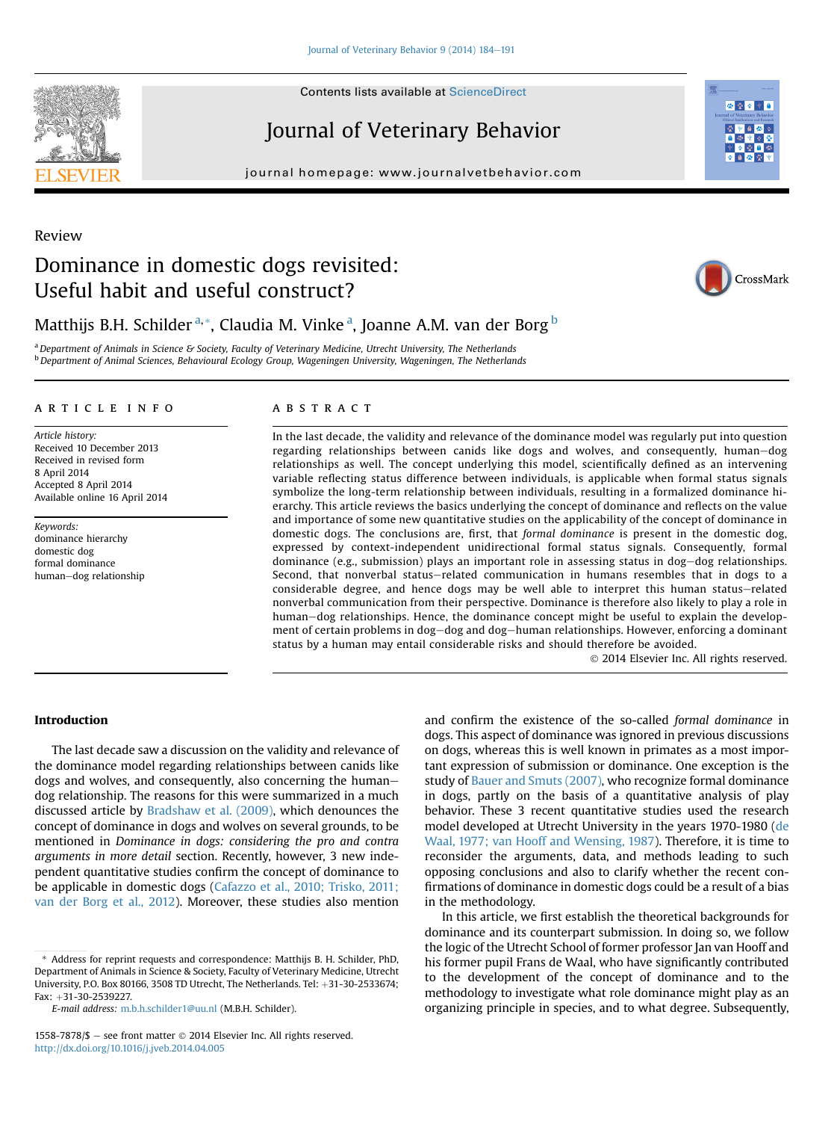**Contents lists available at ScienceDirect** 

## Journal of Veterinary Behavior

journal homepage: [www.journalvetbehavior.com](http://www.journalvetbehavior.com)

# Dominance in domestic dogs revisited: Useful habit and useful construct?



### Matthijs B.H. Schilder <sup>a, \*</sup>, Claudia M. Vinke <sup>a</sup>, Joanne A.M. van der Borg <sup>b</sup>

<sup>a</sup> Department of Animals in Science & Society, Faculty of Veterinary Medicine, Utrecht University, The Netherlands <sup>b</sup> Department of Animal Sciences, Behavioural Ecology Group, Wageningen University, Wageningen, The Netherlands

### article info

Article history: Received 10 December 2013 Received in revised form 8 April 2014 Accepted 8 April 2014 Available online 16 April 2014

Keywords: dominance hierarchy domestic dog formal dominance human-dog relationship

#### **ABSTRACT**

In the last decade, the validity and relevance of the dominance model was regularly put into question regarding relationships between canids like dogs and wolves, and consequently, human–dog relationships as well. The concept underlying this model, scientifically defined as an intervening variable reflecting status difference between individuals, is applicable when formal status signals symbolize the long-term relationship between individuals, resulting in a formalized dominance hierarchy. This article reviews the basics underlying the concept of dominance and reflects on the value and importance of some new quantitative studies on the applicability of the concept of dominance in domestic dogs. The conclusions are, first, that formal dominance is present in the domestic dog, expressed by context-independent unidirectional formal status signals. Consequently, formal dominance (e.g., submission) plays an important role in assessing status in dog-dog relationships. Second, that nonverbal status-related communication in humans resembles that in dogs to a considerable degree, and hence dogs may be well able to interpret this human status–related nonverbal communication from their perspective. Dominance is therefore also likely to play a role in human–dog relationships. Hence, the dominance concept might be useful to explain the development of certain problems in dog-dog and dog-human relationships. However, enforcing a dominant status by a human may entail considerable risks and should therefore be avoided.

2014 Elsevier Inc. All rights reserved.

### Introduction

The last decade saw a discussion on the validity and relevance of the dominance model regarding relationships between canids like dogs and wolves, and consequently, also concerning the humandog relationship. The reasons for this were summarized in a much discussed article by [Bradshaw et al. \(2009\),](#page-7-0) which denounces the concept of dominance in dogs and wolves on several grounds, to be mentioned in Dominance in dogs: considering the pro and contra arguments in more detail section. Recently, however, 3 new independent quantitative studies confirm the concept of dominance to be applicable in domestic dogs [\(Cafazzo et al., 2010; Trisko, 2011;](#page-7-0) [van der Borg et al., 2012](#page-7-0)). Moreover, these studies also mention

\* Address for reprint requests and correspondence: Matthijs B. H. Schilder, PhD, Department of Animals in Science & Society, Faculty of Veterinary Medicine, Utrecht University, P.O. Box 80166, 3508 TD Utrecht, The Netherlands. Tel: +31-30-2533674; Fax: +31-30-2539227.

E-mail address: [m.b.h.schilder1@uu.nl](mailto:m.b.h.schilder1@uu.nl) (M.B.H. Schilder).

and confirm the existence of the so-called formal dominance in dogs. This aspect of dominance was ignored in previous discussions on dogs, whereas this is well known in primates as a most important expression of submission or dominance. One exception is the study of [Bauer and Smuts \(2007\),](#page-7-0) who recognize formal dominance in dogs, partly on the basis of a quantitative analysis of play behavior. These 3 recent quantitative studies used the research model developed at Utrecht University in the years 1970-1980 [\(de](#page-7-0) [Waal, 1977; van Hooff and Wensing, 1987](#page-7-0)). Therefore, it is time to reconsider the arguments, data, and methods leading to such opposing conclusions and also to clarify whether the recent confirmations of dominance in domestic dogs could be a result of a bias in the methodology.

In this article, we first establish the theoretical backgrounds for dominance and its counterpart submission. In doing so, we follow the logic of the Utrecht School of former professor Jan van Hooff and his former pupil Frans de Waal, who have significantly contributed to the development of the concept of dominance and to the methodology to investigate what role dominance might play as an organizing principle in species, and to what degree. Subsequently,



Review

<sup>1558-7878/\$ -</sup> see front matter  $\odot$  2014 Elsevier Inc. All rights reserved. <http://dx.doi.org/10.1016/j.jveb.2014.04.005>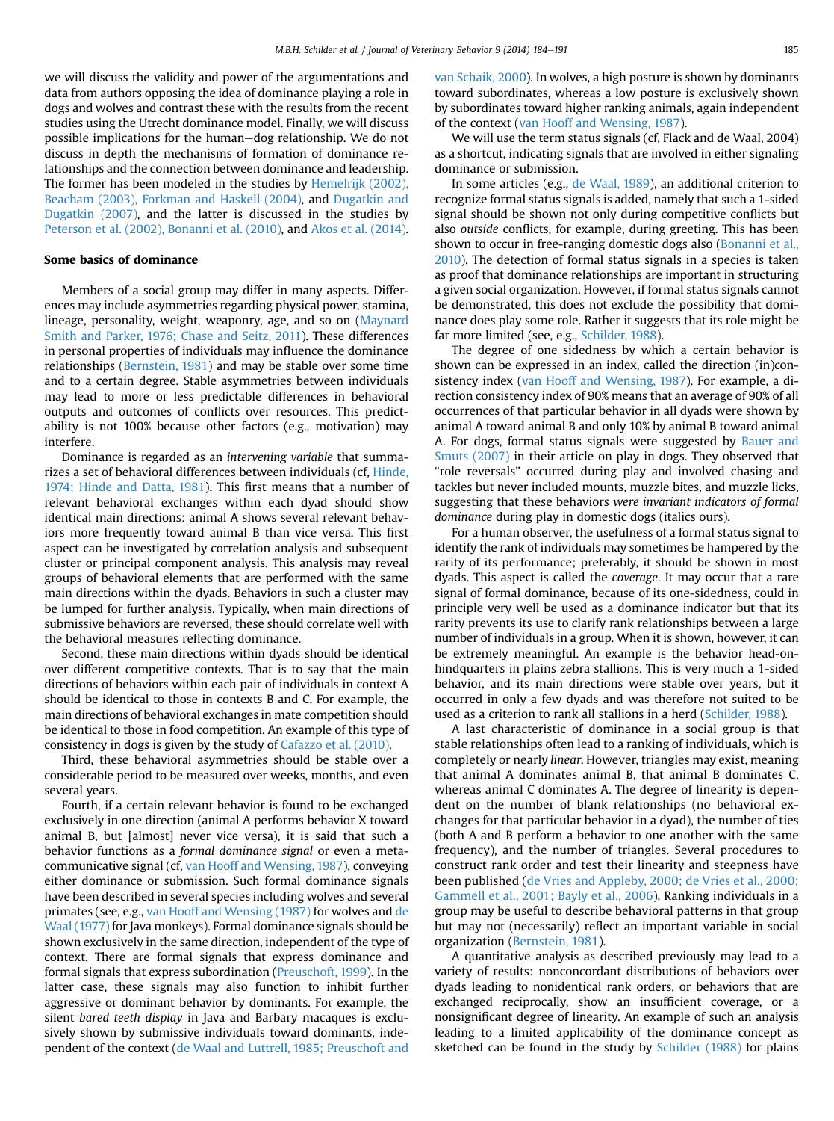we will discuss the validity and power of the argumentations and data from authors opposing the idea of dominance playing a role in dogs and wolves and contrast these with the results from the recent studies using the Utrecht dominance model. Finally, we will discuss possible implications for the human-dog relationship. We do not discuss in depth the mechanisms of formation of dominance relationships and the connection between dominance and leadership. The former has been modeled in the studies by [Hemelrijk \(2002\),](#page-8-0) [Beacham \(2003\), Forkman and Haskell \(2004\)](#page-8-0), and [Dugatkin and](#page-7-0) [Dugatkin \(2007\),](#page-7-0) and the latter is discussed in the studies by [Peterson et al. \(2002\), Bonanni et al. \(2010\)](#page-8-0), and [Akos et al. \(2014\).](#page-7-0)

#### Some basics of dominance

Members of a social group may differ in many aspects. Differences may include asymmetries regarding physical power, stamina, lineage, personality, weight, weaponry, age, and so on ([Maynard](#page-7-0) [Smith and Parker, 1976; Chase and Seitz, 2011](#page-7-0)). These differences in personal properties of individuals may influence the dominance relationships [\(Bernstein, 1981\)](#page-7-0) and may be stable over some time and to a certain degree. Stable asymmetries between individuals may lead to more or less predictable differences in behavioral outputs and outcomes of conflicts over resources. This predictability is not 100% because other factors (e.g., motivation) may interfere.

Dominance is regarded as an intervening variable that summarizes a set of behavioral differences between individuals (cf, [Hinde,](#page-8-0) [1974; Hinde and Datta, 1981\)](#page-8-0). This first means that a number of relevant behavioral exchanges within each dyad should show identical main directions: animal A shows several relevant behaviors more frequently toward animal B than vice versa. This first aspect can be investigated by correlation analysis and subsequent cluster or principal component analysis. This analysis may reveal groups of behavioral elements that are performed with the same main directions within the dyads. Behaviors in such a cluster may be lumped for further analysis. Typically, when main directions of submissive behaviors are reversed, these should correlate well with the behavioral measures reflecting dominance.

Second, these main directions within dyads should be identical over different competitive contexts. That is to say that the main directions of behaviors within each pair of individuals in context A should be identical to those in contexts B and C. For example, the main directions of behavioral exchanges in mate competition should be identical to those in food competition. An example of this type of consistency in dogs is given by the study of [Cafazzo et al. \(2010\).](#page-7-0)

Third, these behavioral asymmetries should be stable over a considerable period to be measured over weeks, months, and even several years.

Fourth, if a certain relevant behavior is found to be exchanged exclusively in one direction (animal A performs behavior X toward animal B, but [almost] never vice versa), it is said that such a behavior functions as a formal dominance signal or even a metacommunicative signal (cf, [van Hooff and Wensing, 1987](#page-8-0)), conveying either dominance or submission. Such formal dominance signals have been described in several species including wolves and several primates (see, e.g., [van Hooff and Wensing \(1987\)](#page-8-0) for wolves and [de](#page-7-0) [Waal \(1977\)](#page-7-0) for Java monkeys). Formal dominance signals should be shown exclusively in the same direction, independent of the type of context. There are formal signals that express dominance and formal signals that express subordination [\(Preuschoft, 1999](#page-8-0)). In the latter case, these signals may also function to inhibit further aggressive or dominant behavior by dominants. For example, the silent bared teeth display in Java and Barbary macaques is exclusively shown by submissive individuals toward dominants, independent of the context [\(de Waal and Luttrell, 1985; Preuschoft and](#page-7-0)

[van Schaik, 2000\)](#page-7-0). In wolves, a high posture is shown by dominants toward subordinates, whereas a low posture is exclusively shown by subordinates toward higher ranking animals, again independent of the context ([van Hooff and Wensing, 1987\)](#page-8-0).

We will use the term status signals (cf, Flack and de Waal, 2004) as a shortcut, indicating signals that are involved in either signaling dominance or submission.

In some articles (e.g., [de Waal, 1989](#page-7-0)), an additional criterion to recognize formal status signals is added, namely that such a 1-sided signal should be shown not only during competitive conflicts but also outside conflicts, for example, during greeting. This has been shown to occur in free-ranging domestic dogs also [\(Bonanni et al.,](#page-7-0) [2010\)](#page-7-0). The detection of formal status signals in a species is taken as proof that dominance relationships are important in structuring a given social organization. However, if formal status signals cannot be demonstrated, this does not exclude the possibility that dominance does play some role. Rather it suggests that its role might be far more limited (see, e.g., [Schilder, 1988\)](#page-8-0).

The degree of one sidedness by which a certain behavior is shown can be expressed in an index, called the direction (in)consistency index ([van Hooff and Wensing, 1987](#page-8-0)). For example, a direction consistency index of 90% means that an average of 90% of all occurrences of that particular behavior in all dyads were shown by animal A toward animal B and only 10% by animal B toward animal A. For dogs, formal status signals were suggested by [Bauer and](#page-7-0) [Smuts \(2007\)](#page-7-0) in their article on play in dogs. They observed that "role reversals" occurred during play and involved chasing and tackles but never included mounts, muzzle bites, and muzzle licks, suggesting that these behaviors were invariant indicators of formal dominance during play in domestic dogs (italics ours).

For a human observer, the usefulness of a formal status signal to identify the rank of individuals may sometimes be hampered by the rarity of its performance; preferably, it should be shown in most dyads. This aspect is called the coverage. It may occur that a rare signal of formal dominance, because of its one-sidedness, could in principle very well be used as a dominance indicator but that its rarity prevents its use to clarify rank relationships between a large number of individuals in a group. When it is shown, however, it can be extremely meaningful. An example is the behavior head-onhindquarters in plains zebra stallions. This is very much a 1-sided behavior, and its main directions were stable over years, but it occurred in only a few dyads and was therefore not suited to be used as a criterion to rank all stallions in a herd [\(Schilder, 1988](#page-8-0)).

A last characteristic of dominance in a social group is that stable relationships often lead to a ranking of individuals, which is completely or nearly linear. However, triangles may exist, meaning that animal A dominates animal B, that animal B dominates C, whereas animal C dominates A. The degree of linearity is dependent on the number of blank relationships (no behavioral exchanges for that particular behavior in a dyad), the number of ties (both A and B perform a behavior to one another with the same frequency), and the number of triangles. Several procedures to construct rank order and test their linearity and steepness have been published ([de Vries and Appleby, 2000; de Vries et al., 2000;](#page-7-0) [Gammell et al., 2001; Bayly et al., 2006](#page-7-0)). Ranking individuals in a group may be useful to describe behavioral patterns in that group but may not (necessarily) reflect an important variable in social organization [\(Bernstein, 1981\)](#page-7-0).

A quantitative analysis as described previously may lead to a variety of results: nonconcordant distributions of behaviors over dyads leading to nonidentical rank orders, or behaviors that are exchanged reciprocally, show an insufficient coverage, or a nonsignificant degree of linearity. An example of such an analysis leading to a limited applicability of the dominance concept as sketched can be found in the study by [Schilder \(1988\)](#page-8-0) for plains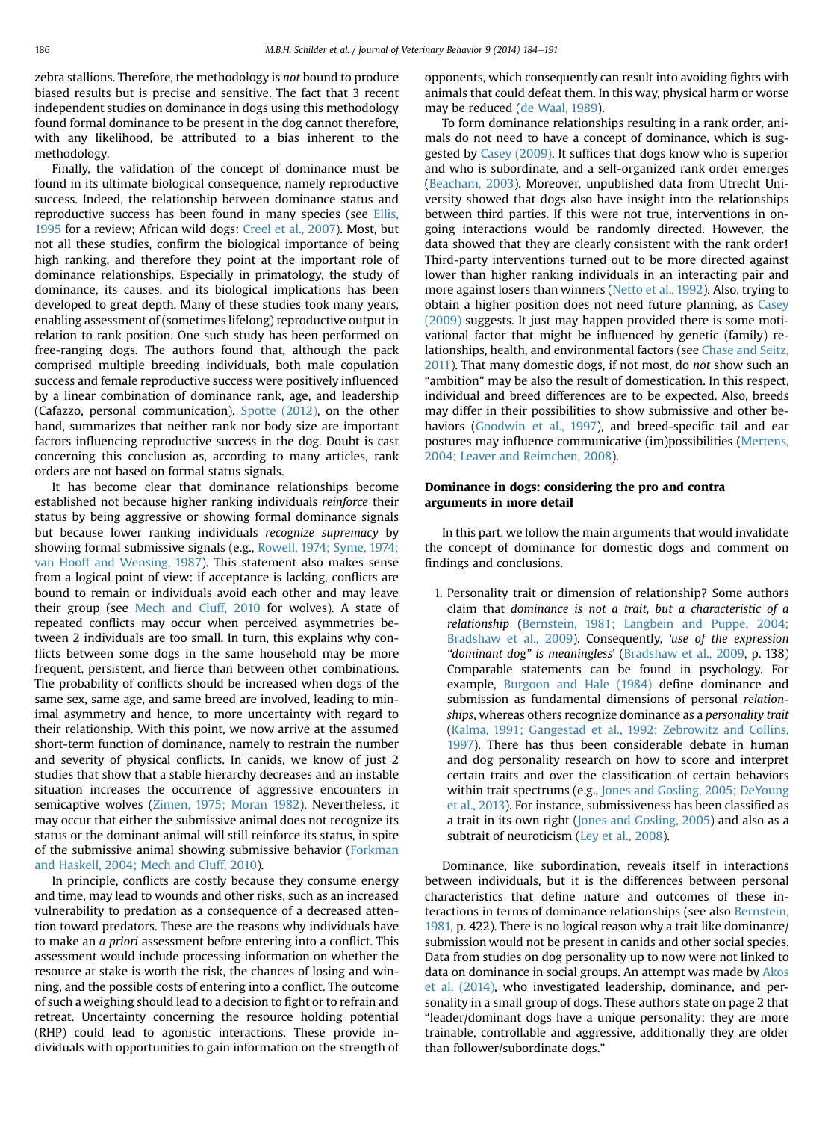zebra stallions. Therefore, the methodology is not bound to produce biased results but is precise and sensitive. The fact that 3 recent independent studies on dominance in dogs using this methodology found formal dominance to be present in the dog cannot therefore, with any likelihood, be attributed to a bias inherent to the methodology.

Finally, the validation of the concept of dominance must be found in its ultimate biological consequence, namely reproductive success. Indeed, the relationship between dominance status and reproductive success has been found in many species (see [Ellis,](#page-8-0) [1995](#page-8-0) for a review; African wild dogs: [Creel et al., 2007\)](#page-7-0). Most, but not all these studies, confirm the biological importance of being high ranking, and therefore they point at the important role of dominance relationships. Especially in primatology, the study of dominance, its causes, and its biological implications has been developed to great depth. Many of these studies took many years, enabling assessment of (sometimes lifelong) reproductive output in relation to rank position. One such study has been performed on free-ranging dogs. The authors found that, although the pack comprised multiple breeding individuals, both male copulation success and female reproductive success were positively influenced by a linear combination of dominance rank, age, and leadership (Cafazzo, personal communication). [Spotte \(2012\)](#page-8-0), on the other hand, summarizes that neither rank nor body size are important factors influencing reproductive success in the dog. Doubt is cast concerning this conclusion as, according to many articles, rank orders are not based on formal status signals.

It has become clear that dominance relationships become established not because higher ranking individuals reinforce their status by being aggressive or showing formal dominance signals but because lower ranking individuals recognize supremacy by showing formal submissive signals (e.g., [Rowell, 1974; Syme, 1974;](#page-8-0) [van Hooff and Wensing, 1987](#page-8-0)). This statement also makes sense from a logical point of view: if acceptance is lacking, conflicts are bound to remain or individuals avoid each other and may leave their group (see [Mech and Cluff, 2010](#page-8-0) for wolves). A state of repeated conflicts may occur when perceived asymmetries between 2 individuals are too small. In turn, this explains why conflicts between some dogs in the same household may be more frequent, persistent, and fierce than between other combinations. The probability of conflicts should be increased when dogs of the same sex, same age, and same breed are involved, leading to minimal asymmetry and hence, to more uncertainty with regard to their relationship. With this point, we now arrive at the assumed short-term function of dominance, namely to restrain the number and severity of physical conflicts. In canids, we know of just 2 studies that show that a stable hierarchy decreases and an instable situation increases the occurrence of aggressive encounters in semicaptive wolves ([Zimen, 1975; Moran 1982](#page-8-0)). Nevertheless, it may occur that either the submissive animal does not recognize its status or the dominant animal will still reinforce its status, in spite of the submissive animal showing submissive behavior [\(Forkman](#page-8-0) [and Haskell, 2004; Mech and Cluff, 2010](#page-8-0)).

In principle, conflicts are costly because they consume energy and time, may lead to wounds and other risks, such as an increased vulnerability to predation as a consequence of a decreased attention toward predators. These are the reasons why individuals have to make an a priori assessment before entering into a conflict. This assessment would include processing information on whether the resource at stake is worth the risk, the chances of losing and winning, and the possible costs of entering into a conflict. The outcome of such a weighing should lead to a decision to fight or to refrain and retreat. Uncertainty concerning the resource holding potential (RHP) could lead to agonistic interactions. These provide individuals with opportunities to gain information on the strength of opponents, which consequently can result into avoiding fights with animals that could defeat them. In this way, physical harm or worse may be reduced ([de Waal, 1989\)](#page-7-0).

To form dominance relationships resulting in a rank order, animals do not need to have a concept of dominance, which is suggested by [Casey \(2009\)](#page-7-0). It suffices that dogs know who is superior and who is subordinate, and a self-organized rank order emerges ([Beacham, 2003](#page-7-0)). Moreover, unpublished data from Utrecht University showed that dogs also have insight into the relationships between third parties. If this were not true, interventions in ongoing interactions would be randomly directed. However, the data showed that they are clearly consistent with the rank order! Third-party interventions turned out to be more directed against lower than higher ranking individuals in an interacting pair and more against losers than winners [\(Netto et al., 1992\)](#page-8-0). Also, trying to obtain a higher position does not need future planning, as [Casey](#page-7-0) [\(2009\)](#page-7-0) suggests. It just may happen provided there is some motivational factor that might be influenced by genetic (family) re-lationships, health, and environmental factors (see [Chase and Seitz,](#page-7-0) [2011](#page-7-0)). That many domestic dogs, if not most, do not show such an "ambition" may be also the result of domestication. In this respect, individual and breed differences are to be expected. Also, breeds may differ in their possibilities to show submissive and other be-haviors ([Goodwin et al., 1997](#page-8-0)), and breed-specific tail and ear postures may influence communicative (im)possibilities [\(Mertens,](#page-8-0) [2004; Leaver and Reimchen, 2008\)](#page-8-0).

#### Dominance in dogs: considering the pro and contra arguments in more detail

In this part, we follow the main arguments that would invalidate the concept of dominance for domestic dogs and comment on findings and conclusions.

1. Personality trait or dimension of relationship? Some authors claim that dominance is not a trait, but a characteristic of a relationship ([Bernstein, 1981; Langbein and Puppe, 2004;](#page-7-0) [Bradshaw et al., 2009\)](#page-7-0). Consequently, 'use of the expression "dominant dog" is meaningless' [\(Bradshaw et al., 2009](#page-7-0), p. 138) Comparable statements can be found in psychology. For example, [Burgoon and Hale \(1984\)](#page-7-0) define dominance and submission as fundamental dimensions of personal relationships, whereas others recognize dominance as a personality trait ([Kalma, 1991; Gangestad et al., 1992; Zebrowitz and Collins,](#page-8-0) [1997](#page-8-0)). There has thus been considerable debate in human and dog personality research on how to score and interpret certain traits and over the classification of certain behaviors within trait spectrums (e.g., [Jones and Gosling, 2005; DeYoung](#page-8-0) [et al., 2013](#page-8-0)). For instance, submissiveness has been classified as a trait in its own right [\(Jones and Gosling, 2005\)](#page-8-0) and also as a subtrait of neuroticism ([Ley et al., 2008\)](#page-8-0).

Dominance, like subordination, reveals itself in interactions between individuals, but it is the differences between personal characteristics that define nature and outcomes of these in-teractions in terms of dominance relationships (see also [Bernstein,](#page-7-0) [1981,](#page-7-0) p. 422). There is no logical reason why a trait like dominance/ submission would not be present in canids and other social species. Data from studies on dog personality up to now were not linked to data on dominance in social groups. An attempt was made by [Akos](#page-7-0) [et al. \(2014\),](#page-7-0) who investigated leadership, dominance, and personality in a small group of dogs. These authors state on page 2 that "leader/dominant dogs have a unique personality: they are more trainable, controllable and aggressive, additionally they are older than follower/subordinate dogs."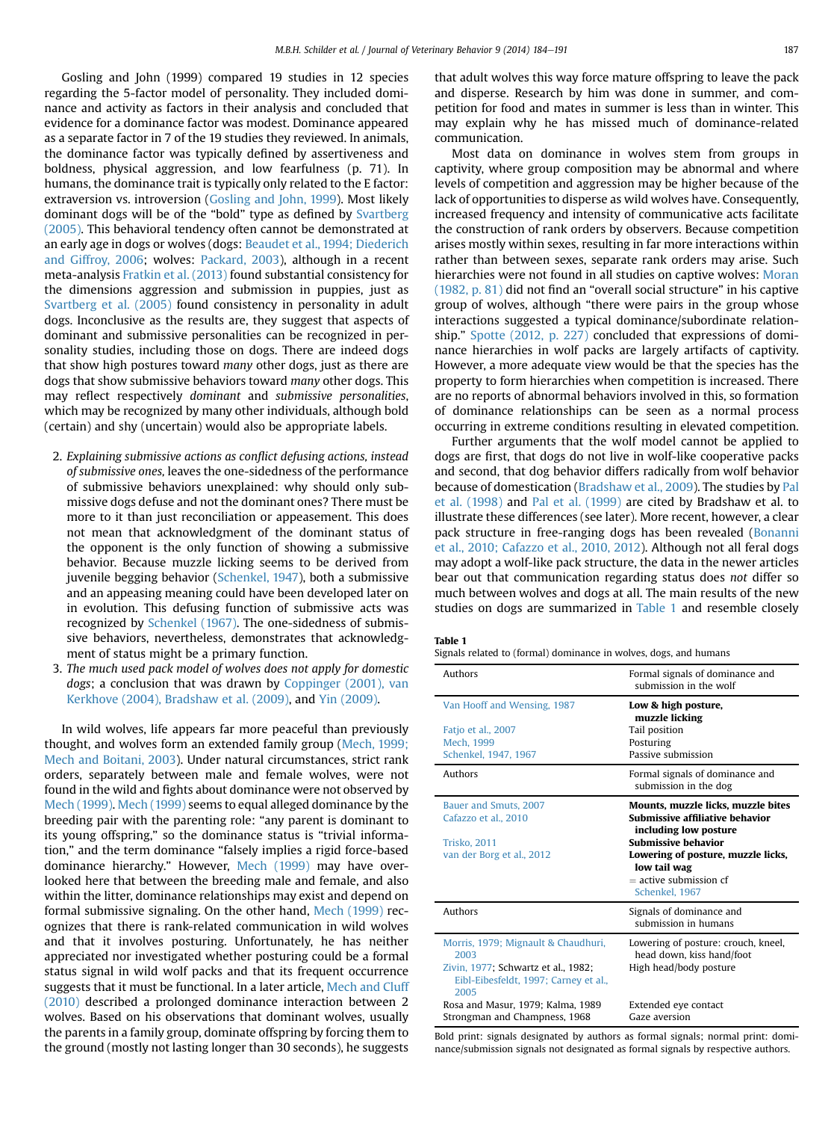<span id="page-4-0"></span>Gosling and John (1999) compared 19 studies in 12 species regarding the 5-factor model of personality. They included dominance and activity as factors in their analysis and concluded that evidence for a dominance factor was modest. Dominance appeared as a separate factor in 7 of the 19 studies they reviewed. In animals, the dominance factor was typically defined by assertiveness and boldness, physical aggression, and low fearfulness (p. 71). In humans, the dominance trait is typically only related to the E factor: extraversion vs. introversion ([Gosling and John, 1999](#page-8-0)). Most likely dominant dogs will be of the "bold" type as defined by [Svartberg](#page-8-0) [\(2005\).](#page-8-0) This behavioral tendency often cannot be demonstrated at an early age in dogs or wolves (dogs: [Beaudet et al., 1994; Diederich](#page-7-0) [and Giffroy, 2006](#page-7-0); wolves: [Packard, 2003](#page-8-0)), although in a recent meta-analysis [Fratkin et al. \(2013\)](#page-8-0) found substantial consistency for the dimensions aggression and submission in puppies, just as [Svartberg et al. \(2005\)](#page-8-0) found consistency in personality in adult dogs. Inconclusive as the results are, they suggest that aspects of dominant and submissive personalities can be recognized in personality studies, including those on dogs. There are indeed dogs that show high postures toward many other dogs, just as there are dogs that show submissive behaviors toward many other dogs. This may reflect respectively dominant and submissive personalities, which may be recognized by many other individuals, although bold (certain) and shy (uncertain) would also be appropriate labels.

- 2. Explaining submissive actions as conflict defusing actions, instead of submissive ones, leaves the one-sidedness of the performance of submissive behaviors unexplained: why should only submissive dogs defuse and not the dominant ones? There must be more to it than just reconciliation or appeasement. This does not mean that acknowledgment of the dominant status of the opponent is the only function of showing a submissive behavior. Because muzzle licking seems to be derived from juvenile begging behavior [\(Schenkel, 1947](#page-8-0)), both a submissive and an appeasing meaning could have been developed later on in evolution. This defusing function of submissive acts was recognized by [Schenkel \(1967\)](#page-8-0). The one-sidedness of submissive behaviors, nevertheless, demonstrates that acknowledgment of status might be a primary function.
- 3. The much used pack model of wolves does not apply for domestic dogs; a conclusion that was drawn by [Coppinger \(2001\), van](#page-7-0) [Kerkhove \(2004\), Bradshaw et al. \(2009\),](#page-7-0) and [Yin \(2009\).](#page-8-0)

In wild wolves, life appears far more peaceful than previously thought, and wolves form an extended family group [\(Mech, 1999;](#page-8-0) [Mech and Boitani, 2003\)](#page-8-0). Under natural circumstances, strict rank orders, separately between male and female wolves, were not found in the wild and fights about dominance were not observed by [Mech \(1999\).](#page-8-0) [Mech \(1999\)](#page-8-0) seems to equal alleged dominance by the breeding pair with the parenting role: "any parent is dominant to its young offspring," so the dominance status is "trivial information," and the term dominance "falsely implies a rigid force-based dominance hierarchy." However, [Mech \(1999\)](#page-8-0) may have overlooked here that between the breeding male and female, and also within the litter, dominance relationships may exist and depend on formal submissive signaling. On the other hand, [Mech \(1999\)](#page-8-0) recognizes that there is rank-related communication in wild wolves and that it involves posturing. Unfortunately, he has neither appreciated nor investigated whether posturing could be a formal status signal in wild wolf packs and that its frequent occurrence suggests that it must be functional. In a later article, [Mech and Cluff](#page-8-0) [\(2010\)](#page-8-0) described a prolonged dominance interaction between 2 wolves. Based on his observations that dominant wolves, usually the parents in a family group, dominate offspring by forcing them to the ground (mostly not lasting longer than 30 seconds), he suggests

that adult wolves this way force mature offspring to leave the pack and disperse. Research by him was done in summer, and competition for food and mates in summer is less than in winter. This may explain why he has missed much of dominance-related communication.

Most data on dominance in wolves stem from groups in captivity, where group composition may be abnormal and where levels of competition and aggression may be higher because of the lack of opportunities to disperse as wild wolves have. Consequently, increased frequency and intensity of communicative acts facilitate the construction of rank orders by observers. Because competition arises mostly within sexes, resulting in far more interactions within rather than between sexes, separate rank orders may arise. Such hierarchies were not found in all studies on captive wolves: [Moran](#page-8-0) [\(1982, p. 81\)](#page-8-0) did not find an "overall social structure" in his captive group of wolves, although "there were pairs in the group whose interactions suggested a typical dominance/subordinate relationship." [Spotte \(2012, p. 227\)](#page-8-0) concluded that expressions of dominance hierarchies in wolf packs are largely artifacts of captivity. However, a more adequate view would be that the species has the property to form hierarchies when competition is increased. There are no reports of abnormal behaviors involved in this, so formation of dominance relationships can be seen as a normal process occurring in extreme conditions resulting in elevated competition.

Further arguments that the wolf model cannot be applied to dogs are first, that dogs do not live in wolf-like cooperative packs and second, that dog behavior differs radically from wolf behavior because of domestication ([Bradshaw et al., 2009\)](#page-7-0). The studies by [Pal](#page-8-0) [et al. \(1998\)](#page-8-0) and [Pal et al. \(1999\)](#page-8-0) are cited by Bradshaw et al. to illustrate these differences (see later). More recent, however, a clear pack structure in free-ranging dogs has been revealed ([Bonanni](#page-7-0) [et al., 2010; Cafazzo et al., 2010, 2012\)](#page-7-0). Although not all feral dogs may adopt a wolf-like pack structure, the data in the newer articles bear out that communication regarding status does not differ so much between wolves and dogs at all. The main results of the new studies on dogs are summarized in Table 1 and resemble closely

#### Table 1

Signals related to (formal) dominance in wolves, dogs, and humans

| Authors                                                                                                                             | Formal signals of dominance and<br>submission in the wolf                                                                                                                                                                               |
|-------------------------------------------------------------------------------------------------------------------------------------|-----------------------------------------------------------------------------------------------------------------------------------------------------------------------------------------------------------------------------------------|
| Van Hooff and Wensing, 1987<br>Fatjo et al., 2007<br>Mech, 1999<br>Schenkel, 1947, 1967                                             | Low & high posture,<br>muzzle licking<br>Tail position<br>Posturing<br>Passive submission                                                                                                                                               |
| Authors                                                                                                                             | Formal signals of dominance and<br>submission in the dog                                                                                                                                                                                |
| Bauer and Smuts, 2007<br>Cafazzo et al., 2010<br><b>Trisko, 2011</b><br>van der Borg et al., 2012                                   | Mounts, muzzle licks, muzzle bites<br><b>Submissive affiliative behavior</b><br>including low posture<br><b>Submissive behavior</b><br>Lowering of posture, muzzle licks,<br>low tail wag<br>$=$ active submission cf<br>Schenkel, 1967 |
| Authors                                                                                                                             | Signals of dominance and<br>submission in humans                                                                                                                                                                                        |
| Morris, 1979; Mignault & Chaudhuri,<br>2003<br>Zivin, 1977; Schwartz et al., 1982;<br>Eibl-Eibesfeldt, 1997; Carney et al.,<br>2005 | Lowering of posture: crouch, kneel,<br>head down, kiss hand/foot<br>High head/body posture                                                                                                                                              |
| Rosa and Masur, 1979; Kalma, 1989<br>Strongman and Champness, 1968                                                                  | Extended eye contact<br>Gaze aversion                                                                                                                                                                                                   |

Bold print: signals designated by authors as formal signals; normal print: dominance/submission signals not designated as formal signals by respective authors.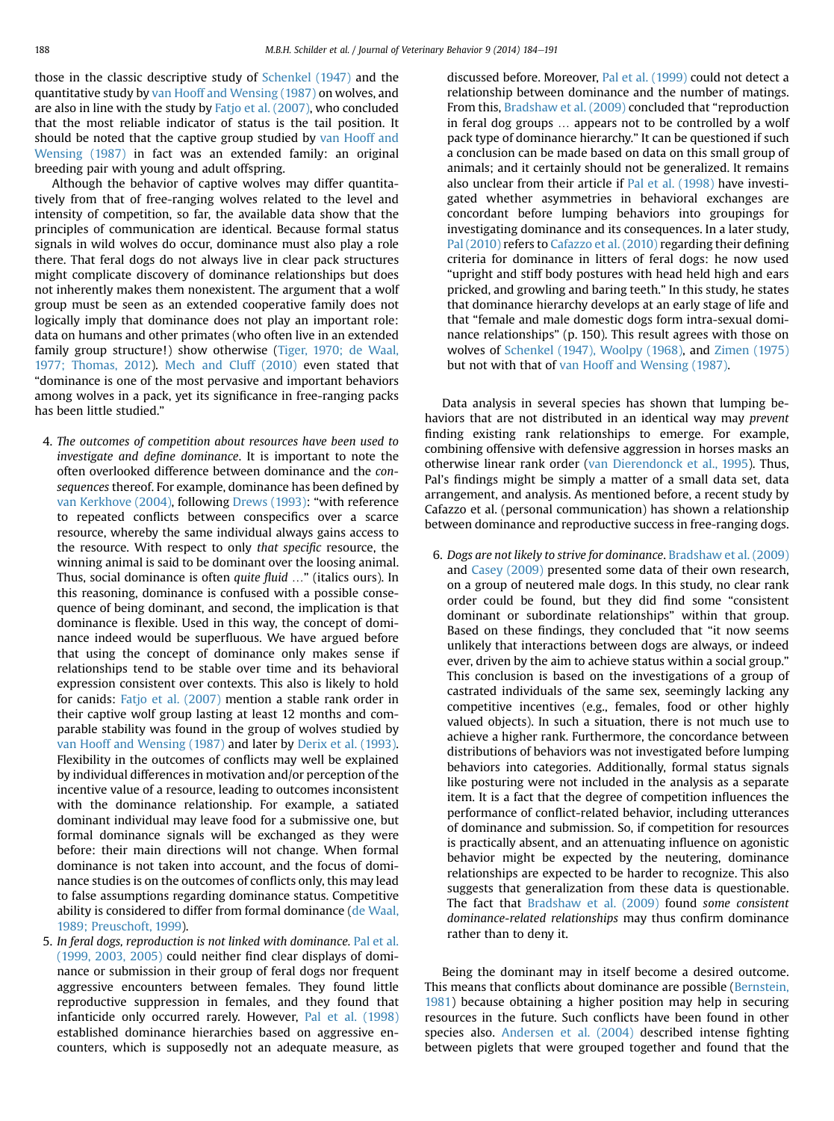those in the classic descriptive study of [Schenkel \(1947\)](#page-8-0) and the quantitative study by [van Hooff and Wensing \(1987\)](#page-8-0) on wolves, and are also in line with the study by [Fatjo et al. \(2007\)](#page-8-0), who concluded that the most reliable indicator of status is the tail position. It should be noted that the captive group studied by [van Hooff and](#page-8-0) [Wensing \(1987\)](#page-8-0) in fact was an extended family: an original breeding pair with young and adult offspring.

Although the behavior of captive wolves may differ quantitatively from that of free-ranging wolves related to the level and intensity of competition, so far, the available data show that the principles of communication are identical. Because formal status signals in wild wolves do occur, dominance must also play a role there. That feral dogs do not always live in clear pack structures might complicate discovery of dominance relationships but does not inherently makes them nonexistent. The argument that a wolf group must be seen as an extended cooperative family does not logically imply that dominance does not play an important role: data on humans and other primates (who often live in an extended family group structure!) show otherwise [\(Tiger, 1970; de Waal,](#page-8-0) [1977; Thomas, 2012](#page-8-0)). [Mech and Cluff \(2010\)](#page-8-0) even stated that "dominance is one of the most pervasive and important behaviors among wolves in a pack, yet its significance in free-ranging packs has been little studied."

- 4. The outcomes of competition about resources have been used to investigate and define dominance. It is important to note the often overlooked difference between dominance and the consequences thereof. For example, dominance has been defined by [van Kerkhove \(2004\),](#page-8-0) following [Drews \(1993\):](#page-7-0) "with reference to repeated conflicts between conspecifics over a scarce resource, whereby the same individual always gains access to the resource. With respect to only that specific resource, the winning animal is said to be dominant over the loosing animal. Thus, social dominance is often *quite fluid* ..." (italics ours). In this reasoning, dominance is confused with a possible consequence of being dominant, and second, the implication is that dominance is flexible. Used in this way, the concept of dominance indeed would be superfluous. We have argued before that using the concept of dominance only makes sense if relationships tend to be stable over time and its behavioral expression consistent over contexts. This also is likely to hold for canids: [Fatjo et al. \(2007\)](#page-8-0) mention a stable rank order in their captive wolf group lasting at least 12 months and comparable stability was found in the group of wolves studied by [van Hooff and Wensing \(1987\)](#page-8-0) and later by [Derix et al. \(1993\).](#page-7-0) Flexibility in the outcomes of conflicts may well be explained by individual differences in motivation and/or perception of the incentive value of a resource, leading to outcomes inconsistent with the dominance relationship. For example, a satiated dominant individual may leave food for a submissive one, but formal dominance signals will be exchanged as they were before: their main directions will not change. When formal dominance is not taken into account, and the focus of dominance studies is on the outcomes of conflicts only, this may lead to false assumptions regarding dominance status. Competitive ability is considered to differ from formal dominance [\(de Waal,](#page-7-0) [1989; Preuschoft, 1999](#page-7-0)).
- 5. In feral dogs, reproduction is not linked with dominance. [Pal et al.](#page-8-0) [\(1999, 2003, 2005\)](#page-8-0) could neither find clear displays of dominance or submission in their group of feral dogs nor frequent aggressive encounters between females. They found little reproductive suppression in females, and they found that infanticide only occurred rarely. However, [Pal et al. \(1998\)](#page-8-0) established dominance hierarchies based on aggressive encounters, which is supposedly not an adequate measure, as

discussed before. Moreover, [Pal et al. \(1999\)](#page-8-0) could not detect a relationship between dominance and the number of matings. From this, [Bradshaw et al. \(2009\)](#page-7-0) concluded that "reproduction in feral dog groups ... appears not to be controlled by a wolf pack type of dominance hierarchy." It can be questioned if such a conclusion can be made based on data on this small group of animals; and it certainly should not be generalized. It remains also unclear from their article if [Pal et al. \(1998\)](#page-8-0) have investigated whether asymmetries in behavioral exchanges are concordant before lumping behaviors into groupings for investigating dominance and its consequences. In a later study, [Pal \(2010\)](#page-8-0) refers to [Cafazzo et al. \(2010\)](#page-7-0) regarding their defining criteria for dominance in litters of feral dogs: he now used "upright and stiff body postures with head held high and ears pricked, and growling and baring teeth." In this study, he states that dominance hierarchy develops at an early stage of life and that "female and male domestic dogs form intra-sexual dominance relationships" (p. 150). This result agrees with those on wolves of [Schenkel \(1947\), Woolpy \(1968\),](#page-8-0) and [Zimen \(1975\)](#page-8-0) but not with that of [van Hooff and Wensing \(1987\).](#page-8-0)

Data analysis in several species has shown that lumping behaviors that are not distributed in an identical way may *prevent* finding existing rank relationships to emerge. For example, combining offensive with defensive aggression in horses masks an otherwise linear rank order ([van Dierendonck et al., 1995](#page-8-0)). Thus, Pal's findings might be simply a matter of a small data set, data arrangement, and analysis. As mentioned before, a recent study by Cafazzo et al. (personal communication) has shown a relationship between dominance and reproductive success in free-ranging dogs.

6. Dogs are not likely to strive for dominance. [Bradshaw et al. \(2009\)](#page-7-0) and [Casey \(2009\)](#page-7-0) presented some data of their own research, on a group of neutered male dogs. In this study, no clear rank order could be found, but they did find some "consistent dominant or subordinate relationships" within that group. Based on these findings, they concluded that "it now seems unlikely that interactions between dogs are always, or indeed ever, driven by the aim to achieve status within a social group." This conclusion is based on the investigations of a group of castrated individuals of the same sex, seemingly lacking any competitive incentives (e.g., females, food or other highly valued objects). In such a situation, there is not much use to achieve a higher rank. Furthermore, the concordance between distributions of behaviors was not investigated before lumping behaviors into categories. Additionally, formal status signals like posturing were not included in the analysis as a separate item. It is a fact that the degree of competition influences the performance of conflict-related behavior, including utterances of dominance and submission. So, if competition for resources is practically absent, and an attenuating influence on agonistic behavior might be expected by the neutering, dominance relationships are expected to be harder to recognize. This also suggests that generalization from these data is questionable. The fact that [Bradshaw et al. \(2009\)](#page-7-0) found some consistent dominance-related relationships may thus confirm dominance rather than to deny it.

Being the dominant may in itself become a desired outcome. This means that conflicts about dominance are possible ([Bernstein,](#page-7-0) [1981\)](#page-7-0) because obtaining a higher position may help in securing resources in the future. Such conflicts have been found in other species also. [Andersen et al. \(2004\)](#page-7-0) described intense fighting between piglets that were grouped together and found that the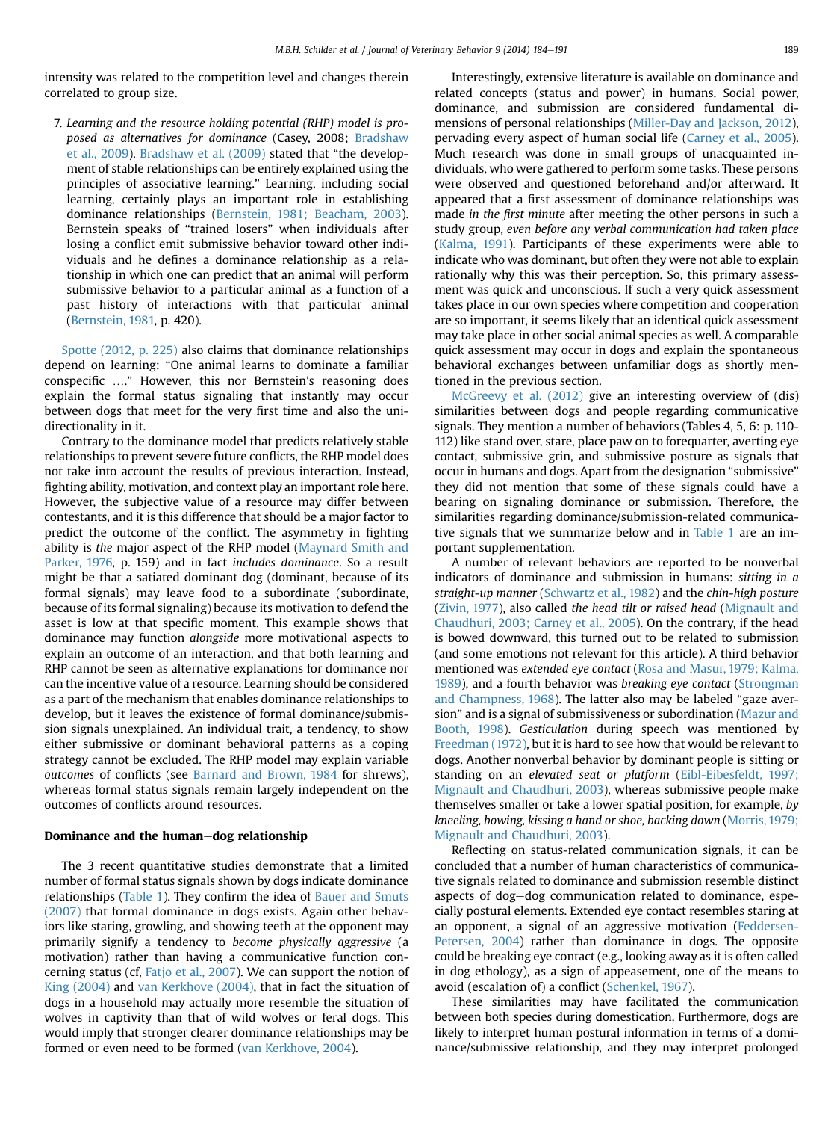intensity was related to the competition level and changes therein correlated to group size.

7. Learning and the resource holding potential (RHP) model is proposed as alternatives for dominance (Casey, 2008; [Bradshaw](#page-7-0) [et al., 2009\)](#page-7-0). [Bradshaw et al. \(2009\)](#page-7-0) stated that "the development of stable relationships can be entirely explained using the principles of associative learning." Learning, including social learning, certainly plays an important role in establishing dominance relationships [\(Bernstein, 1981; Beacham, 2003](#page-7-0)). Bernstein speaks of "trained losers" when individuals after losing a conflict emit submissive behavior toward other individuals and he defines a dominance relationship as a relationship in which one can predict that an animal will perform submissive behavior to a particular animal as a function of a past history of interactions with that particular animal [\(Bernstein, 1981,](#page-7-0) p. 420).

[Spotte \(2012, p. 225\)](#page-8-0) also claims that dominance relationships depend on learning: "One animal learns to dominate a familiar conspecific .." However, this nor Bernstein's reasoning does explain the formal status signaling that instantly may occur between dogs that meet for the very first time and also the unidirectionality in it.

Contrary to the dominance model that predicts relatively stable relationships to prevent severe future conflicts, the RHP model does not take into account the results of previous interaction. Instead, fighting ability, motivation, and context play an important role here. However, the subjective value of a resource may differ between contestants, and it is this difference that should be a major factor to predict the outcome of the conflict. The asymmetry in fighting ability is the major aspect of the RHP model [\(Maynard Smith and](#page-8-0) [Parker, 1976,](#page-8-0) p. 159) and in fact includes dominance. So a result might be that a satiated dominant dog (dominant, because of its formal signals) may leave food to a subordinate (subordinate, because of its formal signaling) because its motivation to defend the asset is low at that specific moment. This example shows that dominance may function alongside more motivational aspects to explain an outcome of an interaction, and that both learning and RHP cannot be seen as alternative explanations for dominance nor can the incentive value of a resource. Learning should be considered as a part of the mechanism that enables dominance relationships to develop, but it leaves the existence of formal dominance/submission signals unexplained. An individual trait, a tendency, to show either submissive or dominant behavioral patterns as a coping strategy cannot be excluded. The RHP model may explain variable outcomes of conflicts (see [Barnard and Brown, 1984](#page-7-0) for shrews), whereas formal status signals remain largely independent on the outcomes of conflicts around resources.

#### Dominance and the human-dog relationship

The 3 recent quantitative studies demonstrate that a limited number of formal status signals shown by dogs indicate dominance relationships [\(Table 1\)](#page-4-0). They confirm the idea of [Bauer and Smuts](#page-7-0) [\(2007\)](#page-7-0) that formal dominance in dogs exists. Again other behaviors like staring, growling, and showing teeth at the opponent may primarily signify a tendency to become physically aggressive (a motivation) rather than having a communicative function concerning status (cf, [Fatjo et al., 2007](#page-8-0)). We can support the notion of [King \(2004\)](#page-8-0) and [van Kerkhove \(2004\)](#page-8-0), that in fact the situation of dogs in a household may actually more resemble the situation of wolves in captivity than that of wild wolves or feral dogs. This would imply that stronger clearer dominance relationships may be formed or even need to be formed [\(van Kerkhove, 2004\)](#page-8-0).

Interestingly, extensive literature is available on dominance and related concepts (status and power) in humans. Social power, dominance, and submission are considered fundamental dimensions of personal relationships [\(Miller-Day and Jackson, 2012](#page-8-0)), pervading every aspect of human social life ([Carney et al., 2005](#page-7-0)). Much research was done in small groups of unacquainted individuals, who were gathered to perform some tasks. These persons were observed and questioned beforehand and/or afterward. It appeared that a first assessment of dominance relationships was made in the first minute after meeting the other persons in such a study group, even before any verbal communication had taken place [\(Kalma, 1991](#page-8-0)). Participants of these experiments were able to indicate who was dominant, but often they were not able to explain rationally why this was their perception. So, this primary assessment was quick and unconscious. If such a very quick assessment takes place in our own species where competition and cooperation are so important, it seems likely that an identical quick assessment may take place in other social animal species as well. A comparable quick assessment may occur in dogs and explain the spontaneous behavioral exchanges between unfamiliar dogs as shortly mentioned in the previous section.

[McGreevy et al. \(2012\)](#page-8-0) give an interesting overview of (dis) similarities between dogs and people regarding communicative signals. They mention a number of behaviors (Tables 4, 5, 6: p. 110- 112) like stand over, stare, place paw on to forequarter, averting eye contact, submissive grin, and submissive posture as signals that occur in humans and dogs. Apart from the designation "submissive" they did not mention that some of these signals could have a bearing on signaling dominance or submission. Therefore, the similarities regarding dominance/submission-related communicative signals that we summarize below and in [Table 1](#page-4-0) are an important supplementation.

A number of relevant behaviors are reported to be nonverbal indicators of dominance and submission in humans: sitting in a straight-up manner [\(Schwartz et al., 1982\)](#page-8-0) and the chin-high posture [\(Zivin, 1977\)](#page-8-0), also called the head tilt or raised head ([Mignault and](#page-8-0) [Chaudhuri, 2003; Carney et al., 2005](#page-8-0)). On the contrary, if the head is bowed downward, this turned out to be related to submission (and some emotions not relevant for this article). A third behavior mentioned was extended eye contact ([Rosa and Masur, 1979; Kalma,](#page-8-0) [1989\)](#page-8-0), and a fourth behavior was breaking eye contact ([Strongman](#page-8-0) [and Champness, 1968](#page-8-0)). The latter also may be labeled "gaze aversion" and is a signal of submissiveness or subordination ([Mazur and](#page-8-0) [Booth, 1998](#page-8-0)). Gesticulation during speech was mentioned by [Freedman \(1972\),](#page-8-0) but it is hard to see how that would be relevant to dogs. Another nonverbal behavior by dominant people is sitting or standing on an elevated seat or platform [\(Eibl-Eibesfeldt, 1997;](#page-7-0) [Mignault and Chaudhuri, 2003](#page-7-0)), whereas submissive people make themselves smaller or take a lower spatial position, for example, by kneeling, bowing, kissing a hand or shoe, backing down ([Morris, 1979;](#page-8-0) [Mignault and Chaudhuri, 2003\)](#page-8-0).

Reflecting on status-related communication signals, it can be concluded that a number of human characteristics of communicative signals related to dominance and submission resemble distinct aspects of dog-dog communication related to dominance, especially postural elements. Extended eye contact resembles staring at an opponent, a signal of an aggressive motivation ([Feddersen-](#page-8-0)[Petersen, 2004\)](#page-8-0) rather than dominance in dogs. The opposite could be breaking eye contact (e.g., looking away as it is often called in dog ethology), as a sign of appeasement, one of the means to avoid (escalation of) a conflict [\(Schenkel, 1967](#page-8-0)).

These similarities may have facilitated the communication between both species during domestication. Furthermore, dogs are likely to interpret human postural information in terms of a dominance/submissive relationship, and they may interpret prolonged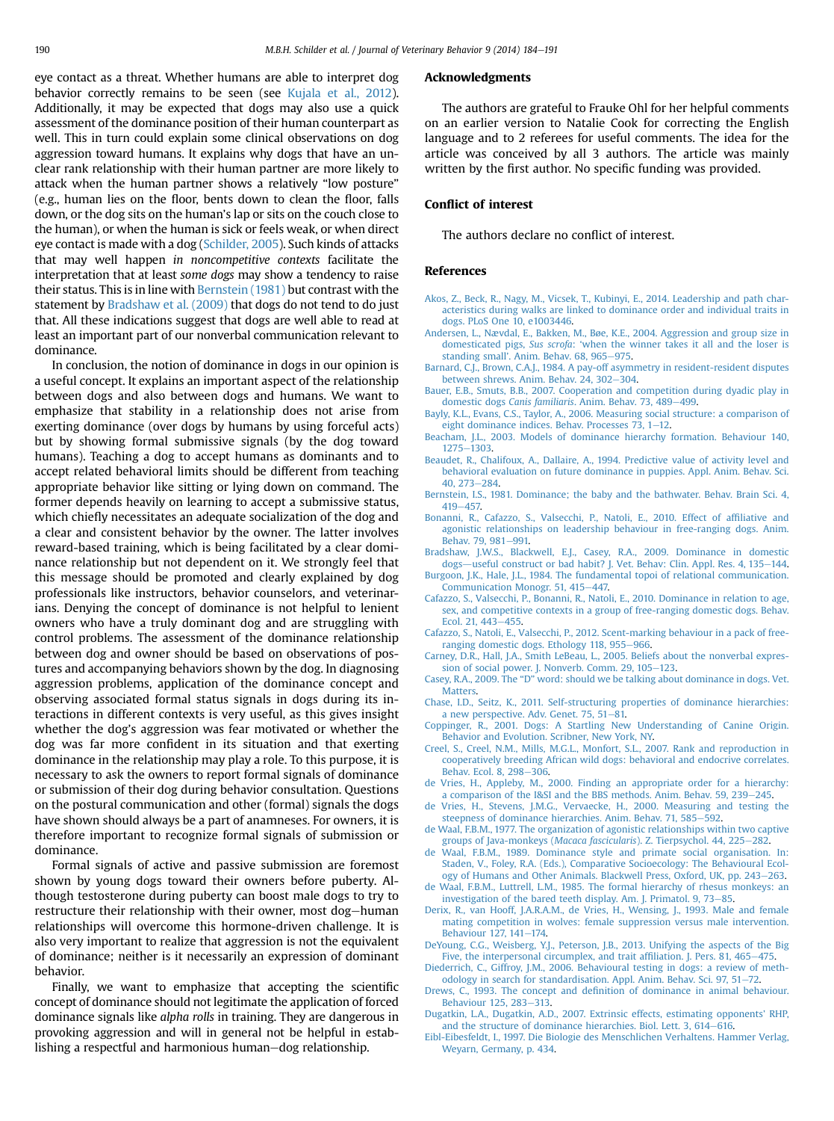<span id="page-7-0"></span>eye contact as a threat. Whether humans are able to interpret dog behavior correctly remains to be seen (see [Kujala et al., 2012\)](#page-8-0). Additionally, it may be expected that dogs may also use a quick assessment of the dominance position of their human counterpart as well. This in turn could explain some clinical observations on dog aggression toward humans. It explains why dogs that have an unclear rank relationship with their human partner are more likely to attack when the human partner shows a relatively "low posture" (e.g., human lies on the floor, bents down to clean the floor, falls down, or the dog sits on the human's lap or sits on the couch close to the human), or when the human is sick or feels weak, or when direct eye contact is made with a dog ([Schilder, 2005\)](#page-8-0). Such kinds of attacks that may well happen in noncompetitive contexts facilitate the interpretation that at least some dogs may show a tendency to raise their status. This is in line with Bernstein (1981) but contrast with the statement by Bradshaw et al. (2009) that dogs do not tend to do just that. All these indications suggest that dogs are well able to read at least an important part of our nonverbal communication relevant to dominance.

In conclusion, the notion of dominance in dogs in our opinion is a useful concept. It explains an important aspect of the relationship between dogs and also between dogs and humans. We want to emphasize that stability in a relationship does not arise from exerting dominance (over dogs by humans by using forceful acts) but by showing formal submissive signals (by the dog toward humans). Teaching a dog to accept humans as dominants and to accept related behavioral limits should be different from teaching appropriate behavior like sitting or lying down on command. The former depends heavily on learning to accept a submissive status, which chiefly necessitates an adequate socialization of the dog and a clear and consistent behavior by the owner. The latter involves reward-based training, which is being facilitated by a clear dominance relationship but not dependent on it. We strongly feel that this message should be promoted and clearly explained by dog professionals like instructors, behavior counselors, and veterinarians. Denying the concept of dominance is not helpful to lenient owners who have a truly dominant dog and are struggling with control problems. The assessment of the dominance relationship between dog and owner should be based on observations of postures and accompanying behaviors shown by the dog. In diagnosing aggression problems, application of the dominance concept and observing associated formal status signals in dogs during its interactions in different contexts is very useful, as this gives insight whether the dog's aggression was fear motivated or whether the dog was far more confident in its situation and that exerting dominance in the relationship may play a role. To this purpose, it is necessary to ask the owners to report formal signals of dominance or submission of their dog during behavior consultation. Questions on the postural communication and other (formal) signals the dogs have shown should always be a part of anamneses. For owners, it is therefore important to recognize formal signals of submission or dominance.

Formal signals of active and passive submission are foremost shown by young dogs toward their owners before puberty. Although testosterone during puberty can boost male dogs to try to restructure their relationship with their owner, most dog-human relationships will overcome this hormone-driven challenge. It is also very important to realize that aggression is not the equivalent of dominance; neither is it necessarily an expression of dominant behavior.

Finally, we want to emphasize that accepting the scientific concept of dominance should not legitimate the application of forced dominance signals like alpha rolls in training. They are dangerous in provoking aggression and will in general not be helpful in establishing a respectful and harmonious human-dog relationship.

#### Acknowledgments

The authors are grateful to Frauke Ohl for her helpful comments on an earlier version to Natalie Cook for correcting the English language and to 2 referees for useful comments. The idea for the article was conceived by all 3 authors. The article was mainly written by the first author. No specific funding was provided.

#### Conflict of interest

The authors declare no conflict of interest.

#### References

- [Akos, Z., Beck, R., Nagy, M., Vicsek, T., Kubinyi, E., 2014. Leadership and path char](http://refhub.elsevier.com/S1558-7878(14)00039-2/sref1)[acteristics during walks are linked to dominance order and individual traits in](http://refhub.elsevier.com/S1558-7878(14)00039-2/sref1) [dogs. PLoS One 10, e1003446.](http://refhub.elsevier.com/S1558-7878(14)00039-2/sref1)
- [Andersen, L., Nævdal, E., Bakken, M., Bøe, K.E., 2004. Aggression and group size in](http://refhub.elsevier.com/S1558-7878(14)00039-2/sref2) domesticated pigs, Sus scrofa: '[when the winner takes it all and the loser is](http://refhub.elsevier.com/S1558-7878(14)00039-2/sref2) standing small'[. Anim. Behav. 68, 965](http://refhub.elsevier.com/S1558-7878(14)00039-2/sref2)-[975](http://refhub.elsevier.com/S1558-7878(14)00039-2/sref2).
- [Barnard, C.J., Brown, C.A.J., 1984. A pay-off asymmetry in resident-resident disputes](http://refhub.elsevier.com/S1558-7878(14)00039-2/sref3) [between shrews. Anim. Behav. 24, 302](http://refhub.elsevier.com/S1558-7878(14)00039-2/sref3)-[304.](http://refhub.elsevier.com/S1558-7878(14)00039-2/sref3)
- [Bauer, E.B., Smuts, B.B., 2007. Cooperation and competition during dyadic play in](http://refhub.elsevier.com/S1558-7878(14)00039-2/sref4) domestic dogs Canis familiaris[. Anim. Behav. 73, 489](http://refhub.elsevier.com/S1558-7878(14)00039-2/sref4)-[499](http://refhub.elsevier.com/S1558-7878(14)00039-2/sref4).
- [Bayly, K.L., Evans, C.S., Taylor, A., 2006. Measuring social structure: a comparison of](http://refhub.elsevier.com/S1558-7878(14)00039-2/sref5) eight dominance indices. Behav. Processes  $73$ ,  $1-12$ .
- [Beacham, J.L., 2003. Models of dominance hierarchy formation. Behaviour 140,](http://refhub.elsevier.com/S1558-7878(14)00039-2/sref6)  $1275 - 1303.$  $1275 - 1303.$  $1275 - 1303.$
- [Beaudet, R., Chalifoux, A., Dallaire, A., 1994. Predictive value of activity level and](http://refhub.elsevier.com/S1558-7878(14)00039-2/sref7) [behavioral evaluation on future dominance in puppies. Appl. Anim. Behav. Sci.](http://refhub.elsevier.com/S1558-7878(14)00039-2/sref7) [40, 273](http://refhub.elsevier.com/S1558-7878(14)00039-2/sref7)-[284](http://refhub.elsevier.com/S1558-7878(14)00039-2/sref7).
- [Bernstein, I.S., 1981. Dominance; the baby and the bathwater. Behav. Brain Sci. 4,](http://refhub.elsevier.com/S1558-7878(14)00039-2/sref8)  $419 - 457$  $419 - 457$
- [Bonanni, R., Cafazzo, S., Valsecchi, P., Natoli, E., 2010. Effect of af](http://refhub.elsevier.com/S1558-7878(14)00039-2/sref9)filiative and [agonistic relationships on leadership behaviour in free-ranging dogs. Anim.](http://refhub.elsevier.com/S1558-7878(14)00039-2/sref9) [Behav. 79, 981](http://refhub.elsevier.com/S1558-7878(14)00039-2/sref9)-[991.](http://refhub.elsevier.com/S1558-7878(14)00039-2/sref9)
- [Bradshaw, J.W.S., Blackwell, E.J., Casey, R.A., 2009. Dominance in domestic](http://refhub.elsevier.com/S1558-7878(14)00039-2/sref10) [dogs](http://refhub.elsevier.com/S1558-7878(14)00039-2/sref10)—[useful construct or bad habit? J. Vet. Behav: Clin. Appl. Res. 4, 135](http://refhub.elsevier.com/S1558-7878(14)00039-2/sref10)-[144.](http://refhub.elsevier.com/S1558-7878(14)00039-2/sref10)
- [Burgoon, J.K., Hale, J.L., 1984. The fundamental topoi of relational communication.](http://refhub.elsevier.com/S1558-7878(14)00039-2/sref95) [Communication Monogr. 51, 415](http://refhub.elsevier.com/S1558-7878(14)00039-2/sref95)-[447.](http://refhub.elsevier.com/S1558-7878(14)00039-2/sref95)
- [Cafazzo, S., Valsecchi, P., Bonanni, R., Natoli, E., 2010. Dominance in relation to age,](http://refhub.elsevier.com/S1558-7878(14)00039-2/sref11) [sex, and competitive contexts in a group of free-ranging domestic dogs. Behav.](http://refhub.elsevier.com/S1558-7878(14)00039-2/sref11) [Ecol. 21, 443](http://refhub.elsevier.com/S1558-7878(14)00039-2/sref11)-[455](http://refhub.elsevier.com/S1558-7878(14)00039-2/sref11).
- [Cafazzo, S., Natoli, E., Valsecchi, P., 2012. Scent-marking behaviour in a pack of free](http://refhub.elsevier.com/S1558-7878(14)00039-2/sref12)[ranging domestic dogs. Ethology 118, 955](http://refhub.elsevier.com/S1558-7878(14)00039-2/sref12)-[966](http://refhub.elsevier.com/S1558-7878(14)00039-2/sref12).
- [Carney, D.R., Hall, J.A., Smith LeBeau, L., 2005. Beliefs about the nonverbal expres](http://refhub.elsevier.com/S1558-7878(14)00039-2/sref13)[sion of social power. J. Nonverb. Comm. 29, 105](http://refhub.elsevier.com/S1558-7878(14)00039-2/sref13)-[123.](http://refhub.elsevier.com/S1558-7878(14)00039-2/sref13)
- Casey, R.A., 2009. The "D" [word: should we be talking about dominance in dogs. Vet.](http://refhub.elsevier.com/S1558-7878(14)00039-2/sref14) [Matters.](http://refhub.elsevier.com/S1558-7878(14)00039-2/sref14)
- [Chase, I.D., Seitz, K., 2011. Self-structuring properties of dominance hierarchies:](http://refhub.elsevier.com/S1558-7878(14)00039-2/sref15) a new perspective. Adv. Genet.  $75, 51-81$ .
- [Coppinger, R., 2001. Dogs: A Startling New Understanding of Canine Origin.](http://refhub.elsevier.com/S1558-7878(14)00039-2/sref16) [Behavior and Evolution. Scribner, New York, NY.](http://refhub.elsevier.com/S1558-7878(14)00039-2/sref16)
- [Creel, S., Creel, N.M., Mills, M.G.L., Monfort, S.L., 2007. Rank and reproduction in](http://refhub.elsevier.com/S1558-7878(14)00039-2/sref94) [cooperatively breeding African wild dogs: behavioral and endocrive correlates.](http://refhub.elsevier.com/S1558-7878(14)00039-2/sref94) [Behav. Ecol. 8, 298](http://refhub.elsevier.com/S1558-7878(14)00039-2/sref94)-[306.](http://refhub.elsevier.com/S1558-7878(14)00039-2/sref94)
- [de Vries, H., Appleby, M., 2000. Finding an appropriate order for a hierarchy:](http://refhub.elsevier.com/S1558-7878(14)00039-2/sref17) [a comparison of the I&SI and the BBS methods. Anim. Behav. 59, 239](http://refhub.elsevier.com/S1558-7878(14)00039-2/sref17)-[245](http://refhub.elsevier.com/S1558-7878(14)00039-2/sref17).
- [de Vries, H., Stevens, J.M.G., Vervaecke, H., 2000. Measuring and testing the](http://refhub.elsevier.com/S1558-7878(14)00039-2/sref18) [steepness of dominance hierarchies. Anim. Behav. 71, 585](http://refhub.elsevier.com/S1558-7878(14)00039-2/sref18)-[592](http://refhub.elsevier.com/S1558-7878(14)00039-2/sref18).
- [de Waal, F.B.M., 1977. The organization of agonistic relationships within two captive](http://refhub.elsevier.com/S1558-7878(14)00039-2/sref19) [groups of Java-monkeys \(](http://refhub.elsevier.com/S1558-7878(14)00039-2/sref19)Macaca fascicularis). Z. Tierpsychol. 44, 225-[282](http://refhub.elsevier.com/S1558-7878(14)00039-2/sref19).
- [de Waal, F.B.M., 1989. Dominance style and primate social organisation. In:](http://refhub.elsevier.com/S1558-7878(14)00039-2/sref20) [Staden, V., Foley, R.A. \(Eds.\), Comparative Socioecology: The Behavioural Ecol](http://refhub.elsevier.com/S1558-7878(14)00039-2/sref20)[ogy of Humans and Other Animals. Blackwell Press, Oxford, UK, pp. 243](http://refhub.elsevier.com/S1558-7878(14)00039-2/sref20)–[263](http://refhub.elsevier.com/S1558-7878(14)00039-2/sref20).
- [de Waal, F.B.M., Luttrell, L.M., 1985. The formal hierarchy of rhesus monkeys: an](http://refhub.elsevier.com/S1558-7878(14)00039-2/sref21) [investigation of the bared teeth display. Am. J. Primatol. 9, 73](http://refhub.elsevier.com/S1558-7878(14)00039-2/sref21)-[85](http://refhub.elsevier.com/S1558-7878(14)00039-2/sref21).
- [Derix, R., van Hooff, J.A.R.A.M., de Vries, H., Wensing, J., 1993. Male and female](http://refhub.elsevier.com/S1558-7878(14)00039-2/sref22) [mating competition in wolves: female suppression versus male intervention.](http://refhub.elsevier.com/S1558-7878(14)00039-2/sref22) [Behaviour 127, 141](http://refhub.elsevier.com/S1558-7878(14)00039-2/sref22)-[174](http://refhub.elsevier.com/S1558-7878(14)00039-2/sref22).
- [DeYoung, C.G., Weisberg, Y.J., Peterson, J.B., 2013. Unifying the aspects of the Big](http://refhub.elsevier.com/S1558-7878(14)00039-2/sref92) [Five, the interpersonal circumplex, and trait af](http://refhub.elsevier.com/S1558-7878(14)00039-2/sref92)filiation. J. Pers. 81, 465-[475](http://refhub.elsevier.com/S1558-7878(14)00039-2/sref92).
- [Diederrich, C., Giffroy, J.M., 2006. Behavioural testing in dogs: a review of meth](http://refhub.elsevier.com/S1558-7878(14)00039-2/sref93)[odology in search for standardisation. Appl. Anim. Behav. Sci. 97, 51](http://refhub.elsevier.com/S1558-7878(14)00039-2/sref93)-[72.](http://refhub.elsevier.com/S1558-7878(14)00039-2/sref93)
- Drews, C., 1993. The concept and defi[nition of dominance in animal behaviour.](http://refhub.elsevier.com/S1558-7878(14)00039-2/sref23) [Behaviour 125, 283](http://refhub.elsevier.com/S1558-7878(14)00039-2/sref23)-[313](http://refhub.elsevier.com/S1558-7878(14)00039-2/sref23).
- [Dugatkin, L.A., Dugatkin, A.D., 2007. Extrinsic effects, estimating opponents](http://refhub.elsevier.com/S1558-7878(14)00039-2/sref24)' RHP, [and the structure of dominance hierarchies. Biol. Lett. 3, 614](http://refhub.elsevier.com/S1558-7878(14)00039-2/sref24)-[616](http://refhub.elsevier.com/S1558-7878(14)00039-2/sref24).
- [Eibl-Eibesfeldt, I., 1997. Die Biologie des Menschlichen Verhaltens. Hammer Verlag,](http://refhub.elsevier.com/S1558-7878(14)00039-2/sref25) [Weyarn, Germany, p. 434.](http://refhub.elsevier.com/S1558-7878(14)00039-2/sref25)